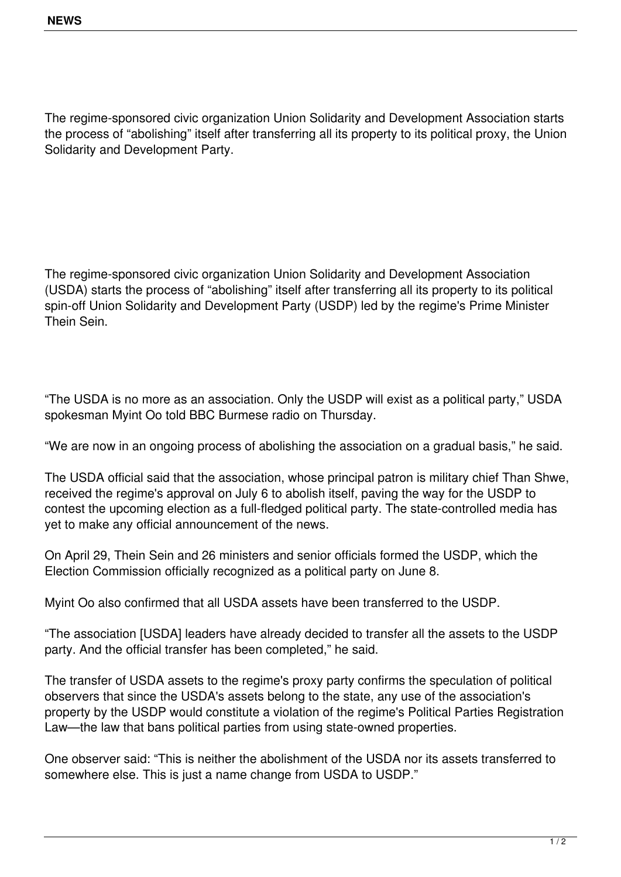The regime-sponsored civic organization Union Solidarity and Development Association starts the process of "abolishing" itself after transferring all its property to its political proxy, the Union Solidarity and Development Party.

The regime-sponsored civic organization Union Solidarity and Development Association (USDA) starts the process of "abolishing" itself after transferring all its property to its political spin-off Union Solidarity and Development Party (USDP) led by the regime's Prime Minister Thein Sein.

"The USDA is no more as an association. Only the USDP will exist as a political party," USDA spokesman Myint Oo told BBC Burmese radio on Thursday.

"We are now in an ongoing process of abolishing the association on a gradual basis," he said.

The USDA official said that the association, whose principal patron is military chief Than Shwe, received the regime's approval on July 6 to abolish itself, paving the way for the USDP to contest the upcoming election as a full-fledged political party. The state-controlled media has yet to make any official announcement of the news.

On April 29, Thein Sein and 26 ministers and senior officials formed the USDP, which the Election Commission officially recognized as a political party on June 8.

Myint Oo also confirmed that all USDA assets have been transferred to the USDP.

"The association [USDA] leaders have already decided to transfer all the assets to the USDP party. And the official transfer has been completed," he said.

The transfer of USDA assets to the regime's proxy party confirms the speculation of political observers that since the USDA's assets belong to the state, any use of the association's property by the USDP would constitute a violation of the regime's Political Parties Registration Law—the law that bans political parties from using state-owned properties.

One observer said: "This is neither the abolishment of the USDA nor its assets transferred to somewhere else. This is just a name change from USDA to USDP."